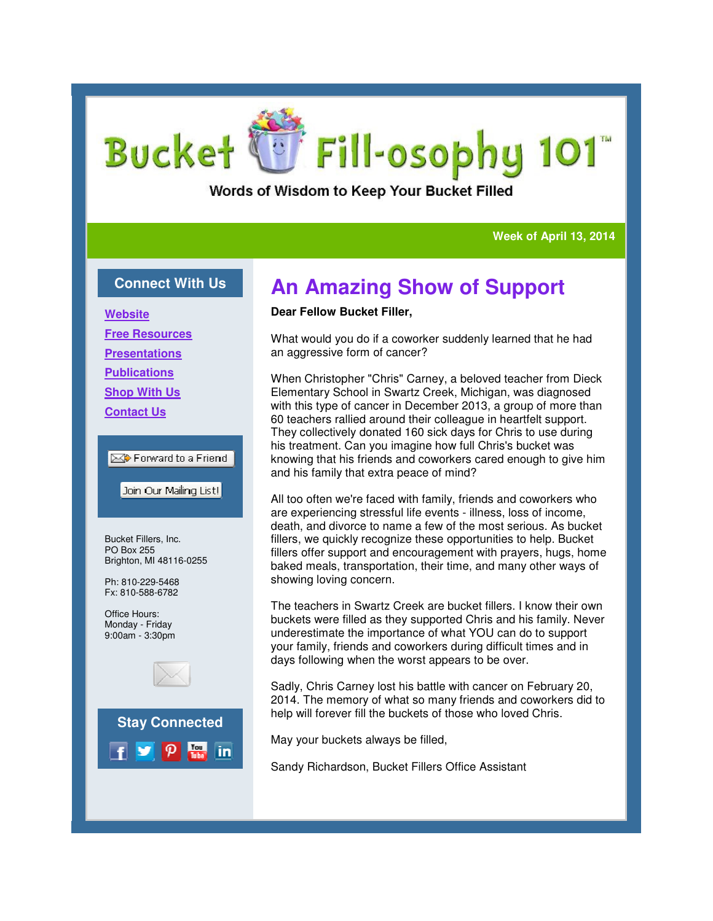# Fill-osophy 101 **Bucket**

Words of Wisdom to Keep Your Bucket Filled

### **Week of April 13, 2014 April 13, 2014**

### **Connect With Us**

**Website**

**Free Resources**

**Presentations**

**Publications**

**Shop With Us**

**Contact Us**

### **Ext** Forward to a Friend

Join Our Mailing List!

Bucket Fillers, Inc. PO Box 255 Brighton, MI 48116-0255

Ph: 810-229-5468 Fx: 810-588-6782

Office Hours: Monday - Friday 9:00am - 3:30pm



## **An Amazing Show of Support An Support**

#### **Dear Fellow Bucket Filler,**

What would you do if a coworker suddenly learned that he had an aggressive form of cancer?

When Christopher "Chris" Carney, a beloved teacher from Dieck Elementary School in Swartz Creek, Michigan, was diagnosed diagnosed with this type of cancer in December 2013, a group of more than 60 teachers rallied around their colleague in heartfelt support. They collectively donated 160 sick days for Chris to use during his treatment. Can you imagine how full Chris's bucket was knowing that his friends and coworkers cared enough to give him and his family that extra peace of mind?

All too often we're faced with family, friends and coworkers who are experiencing stressful life events - illness, loss of income, death, and divorce to name a few of the most serious. As bucket fillers, we quickly recognize these opportunities to help. Bucket fillers offer support and encouragement with prayers, hugs, home baked meals, transportation, their time, and many other ways of showing loving concern. atment. Can you imagine how full Chris's bucket was<br>ortath is friends and coworkers cared enough to give his<br>often we're faced with family, friends and coworkers who<br>periencing stressful life events - illness, loss of inco

The teachers in Swartz Creek are bucket fillers. I know their own buckets were filled as they supported Chris and his family. Never underestimate the importance of what YOU can do to su your family, friends and coworkers during difficult times and in days following when the worst appears to be over.

Sadly, Chris Carney lost his battle with cancer on February 20, 2014. The memory of what so many friends and coworkers did to help will forever fill the buckets of those who loved Chris. Chris Carney lost his battle with cancer on February 20,<br>The memory of what so many friends and coworkers did to<br>Il forever fill the buckets of those who loved Chris.

May your buckets always be filled,

Sandy Richardson, Bucket Fillers Office Assistant